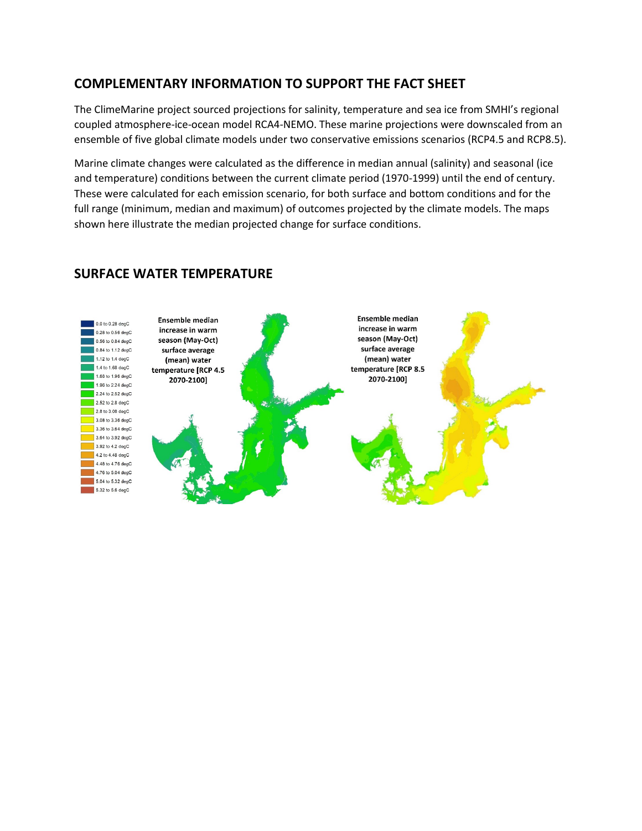# **COMPLEMENTARY INFORMATION TO SUPPORT THE FACT SHEET**

The ClimeMarine project sourced projections for salinity, temperature and sea ice from SMHI's regional coupled atmosphere-ice-ocean model RCA4-NEMO. These marine projections were downscaled from an ensemble of five global climate models under two conservative emissions scenarios (RCP4.5 and RCP8.5).

Marine climate changes were calculated as the difference in median annual (salinity) and seasonal (ice and temperature) conditions between the current climate period (1970-1999) until the end of century. These were calculated for each emission scenario, for both surface and bottom conditions and for the full range (minimum, median and maximum) of outcomes projected by the climate models. The maps shown here illustrate the median projected change for surface conditions.



## **SURFACE WATER TEMPERATURE**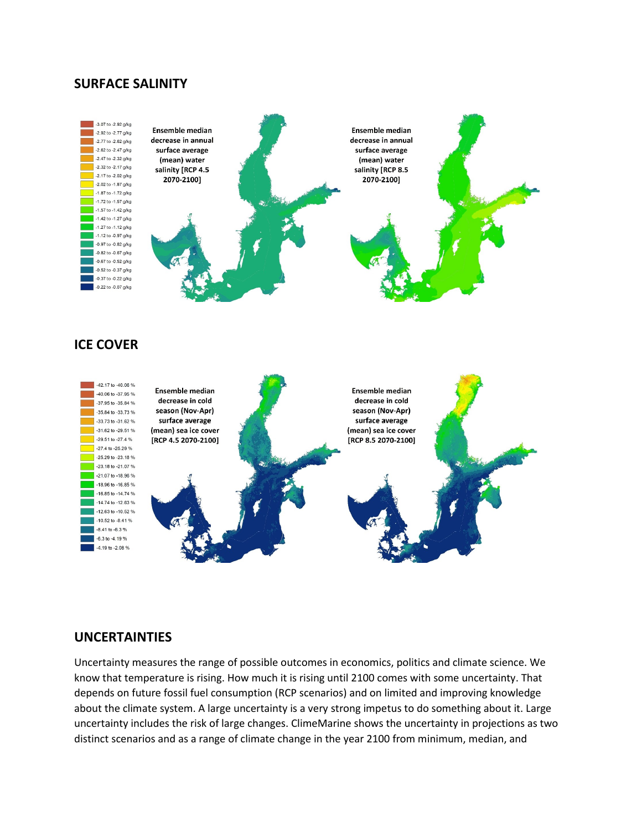#### **SURFACE SALINITY**



## **ICE COVER**



### **UNCERTAINTIES**

Uncertainty measures the range of possible outcomes in economics, politics and climate science. We know that temperature is rising. How much it is rising until 2100 comes with some uncertainty. That depends on future fossil fuel consumption (RCP scenarios) and on limited and improving knowledge about the climate system. A large uncertainty is a very strong impetus to do something about it. Large uncertainty includes the risk of large changes. ClimeMarine shows the uncertainty in projections as two distinct scenarios and as a range of climate change in the year 2100 from minimum, median, and